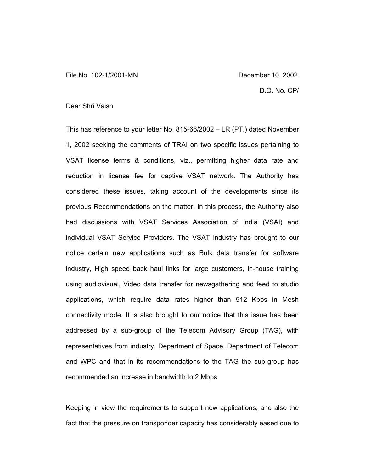## Dear Shri Vaish

This has reference to your letter No. 815-66/2002 – LR (PT.) dated November 1, 2002 seeking the comments of TRAI on two specific issues pertaining to VSAT license terms & conditions, viz., permitting higher data rate and reduction in license fee for captive VSAT network. The Authority has considered these issues, taking account of the developments since its previous Recommendations on the matter. In this process, the Authority also had discussions with VSAT Services Association of India (VSAI) and individual VSAT Service Providers. The VSAT industry has brought to our notice certain new applications such as Bulk data transfer for software industry, High speed back haul links for large customers, in-house training using audiovisual, Video data transfer for newsgathering and feed to studio applications, which require data rates higher than 512 Kbps in Mesh connectivity mode. It is also brought to our notice that this issue has been addressed by a sub-group of the Telecom Advisory Group (TAG), with representatives from industry, Department of Space, Department of Telecom and WPC and that in its recommendations to the TAG the sub-group has recommended an increase in bandwidth to 2 Mbps.

Keeping in view the requirements to support new applications, and also the fact that the pressure on transponder capacity has considerably eased due to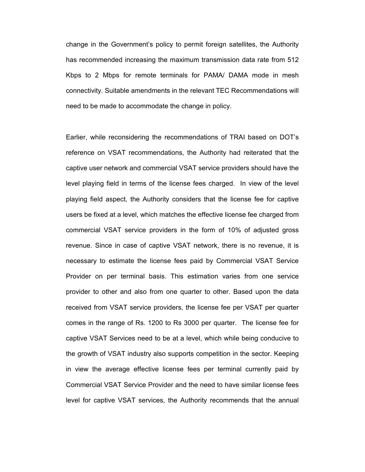change in the Government's policy to permit foreign satellites, the Authority has recommended increasing the maximum transmission data rate from 512 Kbps to 2 Mbps for remote terminals for PAMA/ DAMA mode in mesh connectivity. Suitable amendments in the relevant TEC Recommendations will need to be made to accommodate the change in policy.

Earlier, while reconsidering the recommendations of TRAI based on DOT's reference on VSAT recommendations, the Authority had reiterated that the captive user network and commercial VSAT service providers should have the level playing field in terms of the license fees charged. In view of the level playing field aspect, the Authority considers that the license fee for captive users be fixed at a level, which matches the effective license fee charged from commercial VSAT service providers in the form of 10% of adjusted gross revenue. Since in case of captive VSAT network, there is no revenue, it is necessary to estimate the license fees paid by Commercial VSAT Service Provider on per terminal basis. This estimation varies from one service provider to other and also from one quarter to other. Based upon the data received from VSAT service providers, the license fee per VSAT per quarter comes in the range of Rs. 1200 to Rs 3000 per quarter. The license fee for captive VSAT Services need to be at a level, which while being conducive to the growth of VSAT industry also supports competition in the sector. Keeping in view the average effective license fees per terminal currently paid by Commercial VSAT Service Provider and the need to have similar license fees level for captive VSAT services, the Authority recommends that the annual